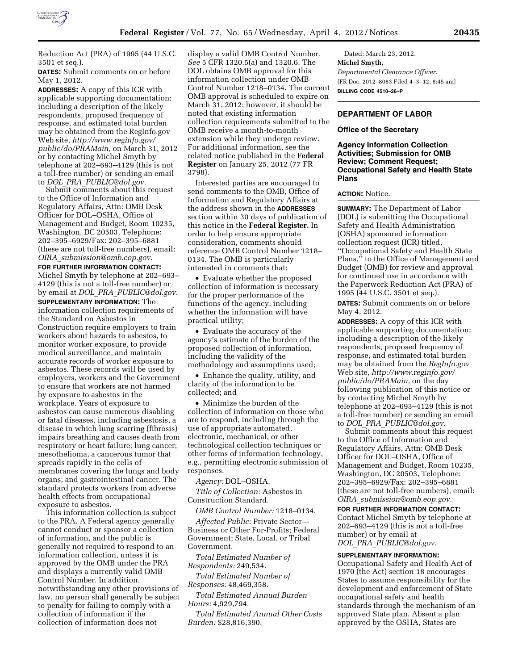

Reduction Act (PRA) of 1995 (44 U.S.C. 3501 et seq.).

**DATES:** Submit comments on or before May 1, 2012.

**ADDRESSES:** A copy of this ICR with applicable supporting documentation; including a description of the likely respondents, proposed frequency of response, and estimated total burden may be obtained from the RegInfo.gov Web site, *[http://www.reginfo.gov/](http://www.reginfo.gov/public/do/PRAMain)  [public/do/PRAMain,](http://www.reginfo.gov/public/do/PRAMain)* on March 31, 2012 or by contacting Michel Smyth by telephone at 202–693–4129 (this is not a toll-free number) or sending an email to *DOL*\_*PRA*\_*[PUBLIC@dol.gov.](mailto:DOL_PRA_PUBLIC@dol.gov)* 

Submit comments about this request to the Office of Information and Regulatory Affairs, Attn: OMB Desk Officer for DOL–OSHA, Office of Management and Budget, Room 10235, Washington, DC 20503, Telephone: 202–395–6929/Fax: 202–395–6881 (these are not toll-free numbers), email: *OIRA*\_*[submission@omb.eop.gov.](mailto:OIRA_submission@omb.eop.gov)* 

### **FOR FURTHER INFORMATION CONTACT:**  Michel Smyth by telephone at 202–693–

4129 (this is not a toll-free number) or by email at *DOL*\_*PRA*\_*[PUBLIC@dol.gov.](mailto:DOL_PRA_PUBLIC@dol.gov)*  **SUPPLEMENTARY INFORMATION:** The information collection requirements of the Standard on Asbestos in

Construction require employers to train workers about hazards to asbestos, to monitor worker exposure, to provide medical surveillance, and maintain accurate records of worker exposure to asbestos. These records will be used by employers, workers and the Government to ensure that workers are not harmed by exposure to asbestos in the workplace. Years of exposure to asbestos can cause numerous disabling or fatal diseases, including asbestosis, a disease in which lung scarring (fibrosis) impairs breathing and causes death from respiratory or heart failure; lung cancer; mesothelioma, a cancerous tumor that spreads rapidly in the cells of membranes covering the lungs and body organs; and gastrointestinal cancer. The standard protects workers from adverse health effects from occupational exposure to asbestos.

This information collection is subject to the PRA. A Federal agency generally cannot conduct or sponsor a collection of information, and the public is generally not required to respond to an information collection, unless it is approved by the OMB under the PRA and displays a currently valid OMB Control Number. In addition, notwithstanding any other provisions of law, no person shall generally be subject to penalty for failing to comply with a collection of information if the collection of information does not

display a valid OMB Control Number. *See* 5 CFR 1320.5(a) and 1320.6. The DOL obtains OMB approval for this information collection under OMB Control Number 1218–0134. The current OMB approval is scheduled to expire on March 31, 2012; however, it should be noted that existing information collection requirements submitted to the OMB receive a month-to-month extension while they undergo review. For additional information, see the related notice published in the **Federal Register** on January 25, 2012 (77 FR 3798).

Interested parties are encouraged to send comments to the OMB, Office of Information and Regulatory Affairs at the address shown in the **ADDRESSES** section within 30 days of publication of this notice in the **Federal Register.** In order to help ensure appropriate consideration, comments should reference OMB Control Number 1218– 0134. The OMB is particularly interested in comments that:

• Evaluate whether the proposed collection of information is necessary for the proper performance of the functions of the agency, including whether the information will have practical utility;

• Evaluate the accuracy of the agency's estimate of the burden of the proposed collection of information, including the validity of the methodology and assumptions used;

• Enhance the quality, utility, and clarity of the information to be collected; and

• Minimize the burden of the collection of information on those who are to respond, including through the use of appropriate automated, electronic, mechanical, or other technological collection techniques or other forms of information technology, e.g., permitting electronic submission of responses.

*Agency:* DOL–OSHA.

*Title of Collection:* Asbestos in Construction Standard.

*OMB Control Number:* 1218–0134.

*Affected Public:* Private Sector— Business or Other For-Profits; Federal Government; State, Local, or Tribal Government.

*Total Estimated Number of Respondents:* 249,534.

*Total Estimated Number of Responses:* 48,469,358.

*Total Estimated Annual Burden Hours:* 4,929,794.

*Total Estimated Annual Other Costs Burden:* \$28,816,390.

Dated: March 23, 2012. **Michel Smyth,**  *Departmental Clearance Officer.*  [FR Doc. 2012–8083 Filed 4–3–12; 8:45 am] **BILLING CODE 4510–26–P** 

# **DEPARTMENT OF LABOR**

### **Office of the Secretary**

**Agency Information Collection Activities; Submission for OMB Review; Comment Request; Occupational Safety and Health State Plans** 

# **ACTION:** Notice.

**SUMMARY:** The Department of Labor (DOL) is submitting the Occupational Safety and Health Administration (OSHA) sponsored information collection request (ICR) titled, ''Occupational Safety and Health State Plans,'' to the Office of Management and Budget (OMB) for review and approval for continued use in accordance with the Paperwork Reduction Act (PRA) of 1995 (44 U.S.C. 3501 et seq.).

**DATES:** Submit comments on or before May 4, 2012.

**ADDRESSES:** A copy of this ICR with applicable supporting documentation; including a description of the likely respondents, proposed frequency of response, and estimated total burden may be obtained from the *RegInfo.gov*  Web site, *[http://www.reginfo.gov/](http://www.reginfo.gov/public/do/PRAMain)  [public/do/PRAMain,](http://www.reginfo.gov/public/do/PRAMain)* on the day following publication of this notice or by contacting Michel Smyth by telephone at 202–693–4129 (this is not a toll-free number) or sending an email to *DOL*\_*PRA*\_*[PUBLIC@dol.gov.](mailto:DOL_PRA_PUBLIC@dol.gov)* 

Submit comments about this request to the Office of Information and Regulatory Affairs, Attn: OMB Desk Officer for DOL–OSHA, Office of Management and Budget, Room 10235, Washington, DC 20503, Telephone: 202–395–6929/Fax: 202–395–6881 (these are not toll-free numbers), email: *OIRA*\_*[submission@omb.eop.gov.](mailto:OIRA_submission@omb.eop.gov)* 

**FOR FURTHER INFORMATION CONTACT:** 

Contact Michel Smyth by telephone at 202–693–4129 (this is not a toll-free number) or by email at *DOL*\_*PRA*\_*[PUBLIC@dol.gov.](mailto:DOL_PRA_PUBLIC@dol.gov)* 

#### **SUPPLEMENTARY INFORMATION:**

Occupational Safety and Health Act of 1970 (the Act) section 18 encourages States to assume responsibility for the development and enforcement of State occupational safety and health standards through the mechanism of an approved State plan. Absent a plan approved by the OSHA, States are